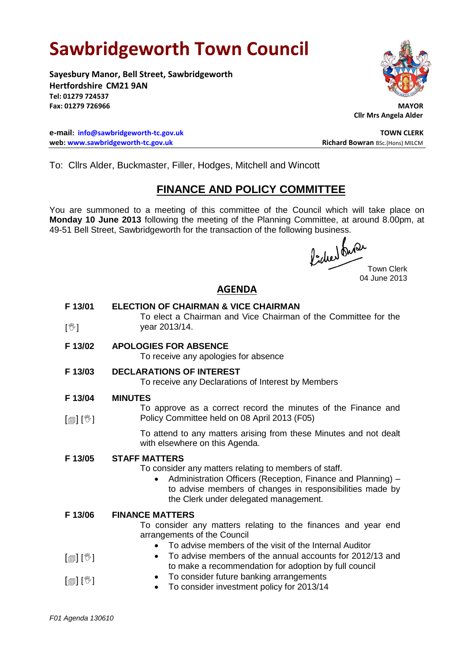# **Sawbridgeworth Town Council**

**Sayesbury Manor, Bell Street, Sawbridgeworth Hertfordshire CM21 9AN Tel: 01279 724537 Fax: 01279 726966 MAYOR**

**e-mail: [info@sawbridgeworth-tc.gov.uk](mailto:info@sawbridgeworth-tc.gov.uk) TOWN CLERK web: www.sawbridgeworth-tc.gov.uk Richard Bowran BSc.(Hons) MILCM Richard Bowran BSc.(Hons) MILCM** 



**Cllr Mrs Angela Alder**

To: Cllrs Alder, Buckmaster, Filler, Hodges, Mitchell and Wincott

## **FINANCE AND POLICY COMMITTEE**

You are summoned to a meeting of this committee of the Council which will take place on **Monday 10 June 2013** following the meeting of the Planning Committee, at around 8.00pm, at 49-51 Bell Street, Sawbridgeworth for the transaction of the following business.<br>  $\int_{\mathbf{S}} \int_{\mathbf{M}} \mathbf{M} \mathbf{M}$ 

Town Clerk 04 June 2013

## **AGENDA**

| F 13/01                                | <b>ELECTION OF CHAIRMAN &amp; VICE CHAIRMAN</b><br>To elect a Chairman and Vice Chairman of the Committee for the                                                                                                                                              |
|----------------------------------------|----------------------------------------------------------------------------------------------------------------------------------------------------------------------------------------------------------------------------------------------------------------|
| $[\mathbb{V}]$                         | year 2013/14.                                                                                                                                                                                                                                                  |
| F 13/02                                | <b>APOLOGIES FOR ABSENCE</b><br>To receive any apologies for absence                                                                                                                                                                                           |
| F 13/03                                | <b>DECLARATIONS OF INTEREST</b><br>To receive any Declarations of Interest by Members                                                                                                                                                                          |
| F 13/04                                | <b>MINUTES</b>                                                                                                                                                                                                                                                 |
| $\mathbb{D}[\mathbb{D}^1]$             | To approve as a correct record the minutes of the Finance and<br>Policy Committee held on 08 April 2013 (F05)                                                                                                                                                  |
|                                        | To attend to any matters arising from these Minutes and not dealt<br>with elsewhere on this Agenda.                                                                                                                                                            |
| F 13/05                                | <b>STAFF MATTERS</b><br>To consider any matters relating to members of staff.<br>Administration Officers (Reception, Finance and Planning) -<br>$\bullet$<br>to advise members of changes in responsibilities made by<br>the Clerk under delegated management. |
| F 13/06                                | <b>FINANCE MATTERS</b><br>To consider any matters relating to the finances and year end<br>arrangements of the Council<br>To advise members of the visit of the Internal Auditor<br>$\bullet$                                                                  |
| $\textsf{F}[\textsf{F}][\mathbb{Z}]$   | To advise members of the annual accounts for 2012/13 and<br>$\bullet$<br>to make a recommendation for adoption by full council                                                                                                                                 |
| $\lceil \text{min}(\mathbb{V}) \rceil$ | To consider future banking arrangements<br>$\bullet$<br>To consider investment policy for 2013/14                                                                                                                                                              |